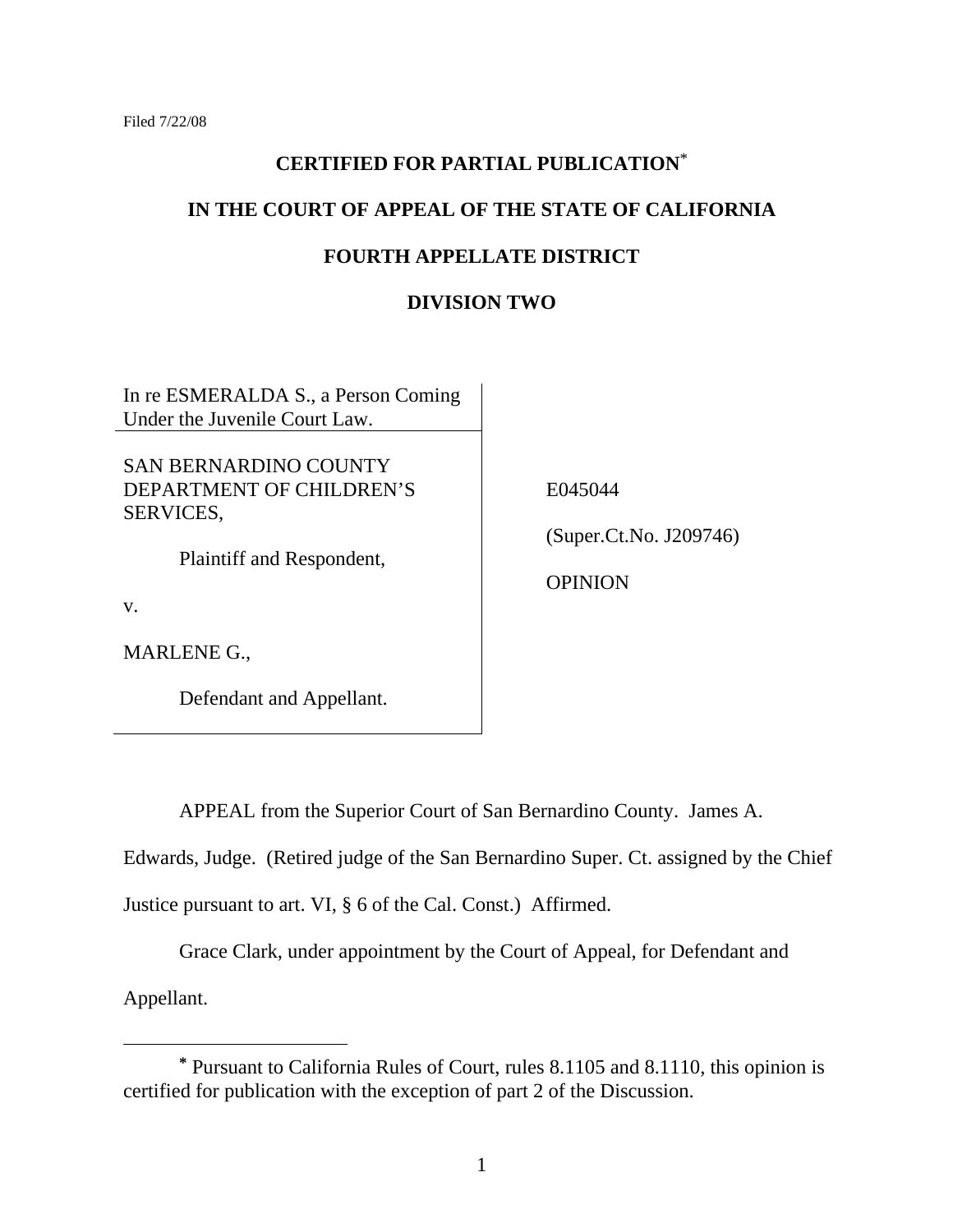# **CERTIFIED FOR PARTIAL PUBLICATION**\*

# **IN THE COURT OF APPEAL OF THE STATE OF CALIFORNIA**

# **FOURTH APPELLATE DISTRICT**

# **DIVISION TWO**

In re ESMERALDA S., a Person Coming Under the Juvenile Court Law.

SAN BERNARDINO COUNTY DEPARTMENT OF CHILDREN'S SERVICES,

Plaintiff and Respondent,

v.

MARLENE G.,

Defendant and Appellant.

E045044

(Super.Ct.No. J209746)

**OPINION** 

APPEAL from the Superior Court of San Bernardino County. James A.

Edwards, Judge. (Retired judge of the San Bernardino Super. Ct. assigned by the Chief

Justice pursuant to art. VI, § 6 of the Cal. Const.) Affirmed.

Grace Clark, under appointment by the Court of Appeal, for Defendant and

Appellant.

**<sup>\*</sup>** Pursuant to California Rules of Court, rules 8.1105 and 8.1110, this opinion is certified for publication with the exception of part 2 of the Discussion.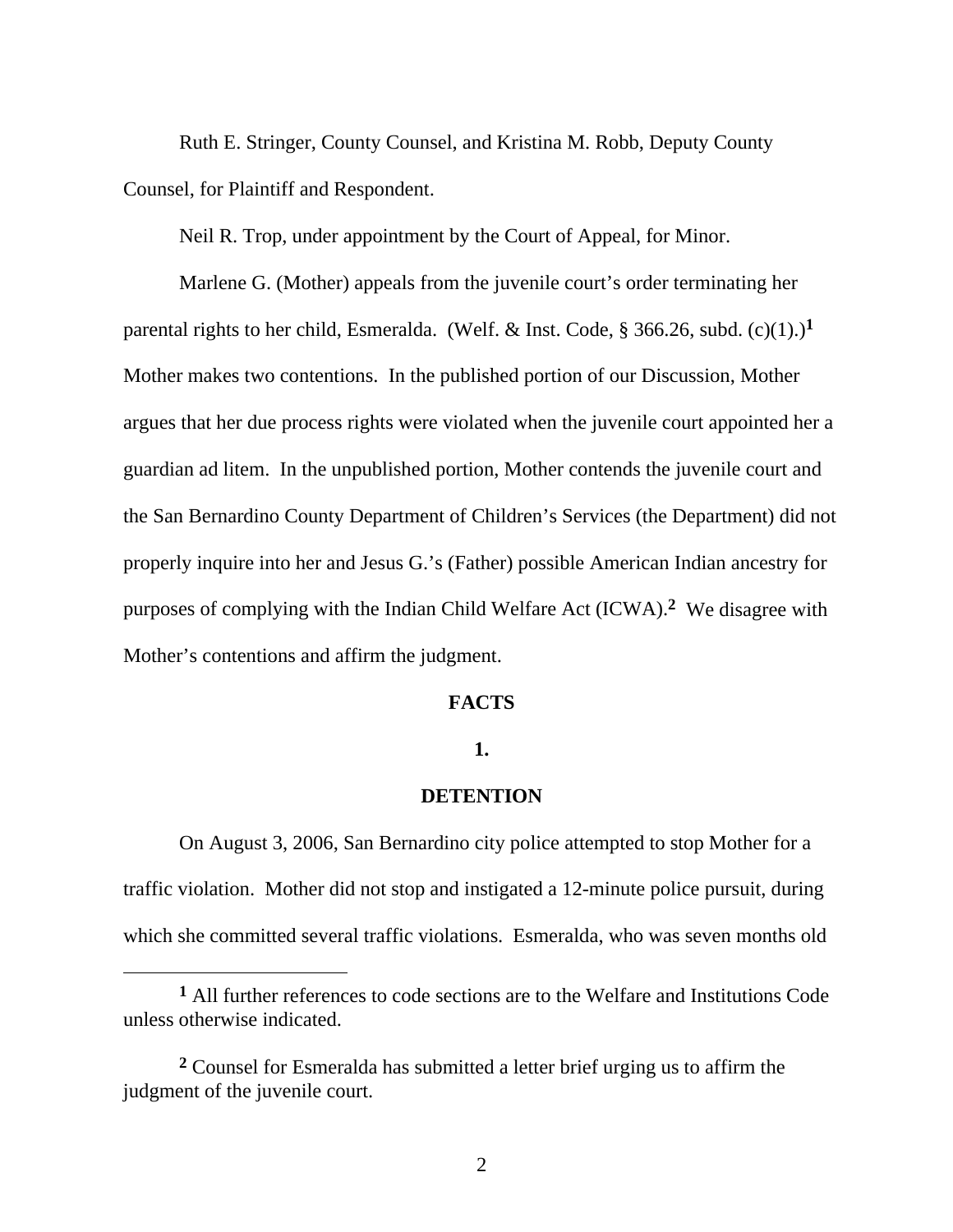Ruth E. Stringer, County Counsel, and Kristina M. Robb, Deputy County Counsel, for Plaintiff and Respondent.

Neil R. Trop, under appointment by the Court of Appeal, for Minor.

 Marlene G. (Mother) appeals from the juvenile court's order terminating her parental rights to her child, Esmeralda. (Welf. & Inst. Code,  $\S$  366.26, subd. (c)(1).)<sup>1</sup> Mother makes two contentions. In the published portion of our Discussion, Mother argues that her due process rights were violated when the juvenile court appointed her a guardian ad litem. In the unpublished portion, Mother contends the juvenile court and the San Bernardino County Department of Children's Services (the Department) did not properly inquire into her and Jesus G.'s (Father) possible American Indian ancestry for purposes of complying with the Indian Child Welfare Act (ICWA).**2** We disagree with Mother's contentions and affirm the judgment.

## **FACTS**

## **1.**

# **DETENTION**

On August 3, 2006, San Bernardino city police attempted to stop Mother for a traffic violation. Mother did not stop and instigated a 12-minute police pursuit, during which she committed several traffic violations. Esmeralda, who was seven months old

 $\overline{a}$ 

**<sup>1</sup>** All further references to code sections are to the Welfare and Institutions Code unless otherwise indicated.

**<sup>2</sup>** Counsel for Esmeralda has submitted a letter brief urging us to affirm the judgment of the juvenile court.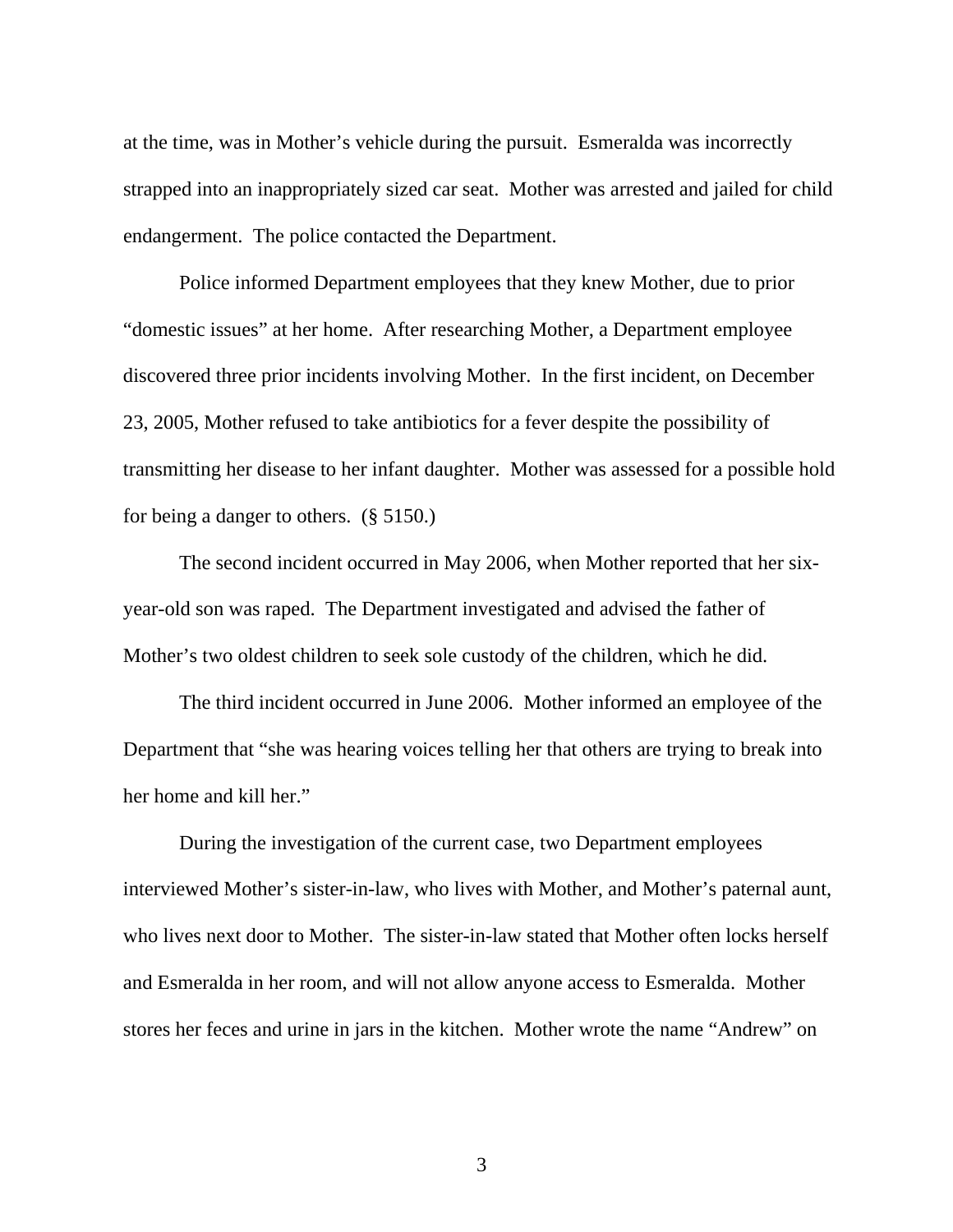at the time, was in Mother's vehicle during the pursuit. Esmeralda was incorrectly strapped into an inappropriately sized car seat. Mother was arrested and jailed for child endangerment. The police contacted the Department.

 Police informed Department employees that they knew Mother, due to prior "domestic issues" at her home. After researching Mother, a Department employee discovered three prior incidents involving Mother. In the first incident, on December 23, 2005, Mother refused to take antibiotics for a fever despite the possibility of transmitting her disease to her infant daughter. Mother was assessed for a possible hold for being a danger to others. (§ 5150.)

 The second incident occurred in May 2006, when Mother reported that her sixyear-old son was raped. The Department investigated and advised the father of Mother's two oldest children to seek sole custody of the children, which he did.

 The third incident occurred in June 2006. Mother informed an employee of the Department that "she was hearing voices telling her that others are trying to break into her home and kill her."

 During the investigation of the current case, two Department employees interviewed Mother's sister-in-law, who lives with Mother, and Mother's paternal aunt, who lives next door to Mother. The sister-in-law stated that Mother often locks herself and Esmeralda in her room, and will not allow anyone access to Esmeralda. Mother stores her feces and urine in jars in the kitchen. Mother wrote the name "Andrew" on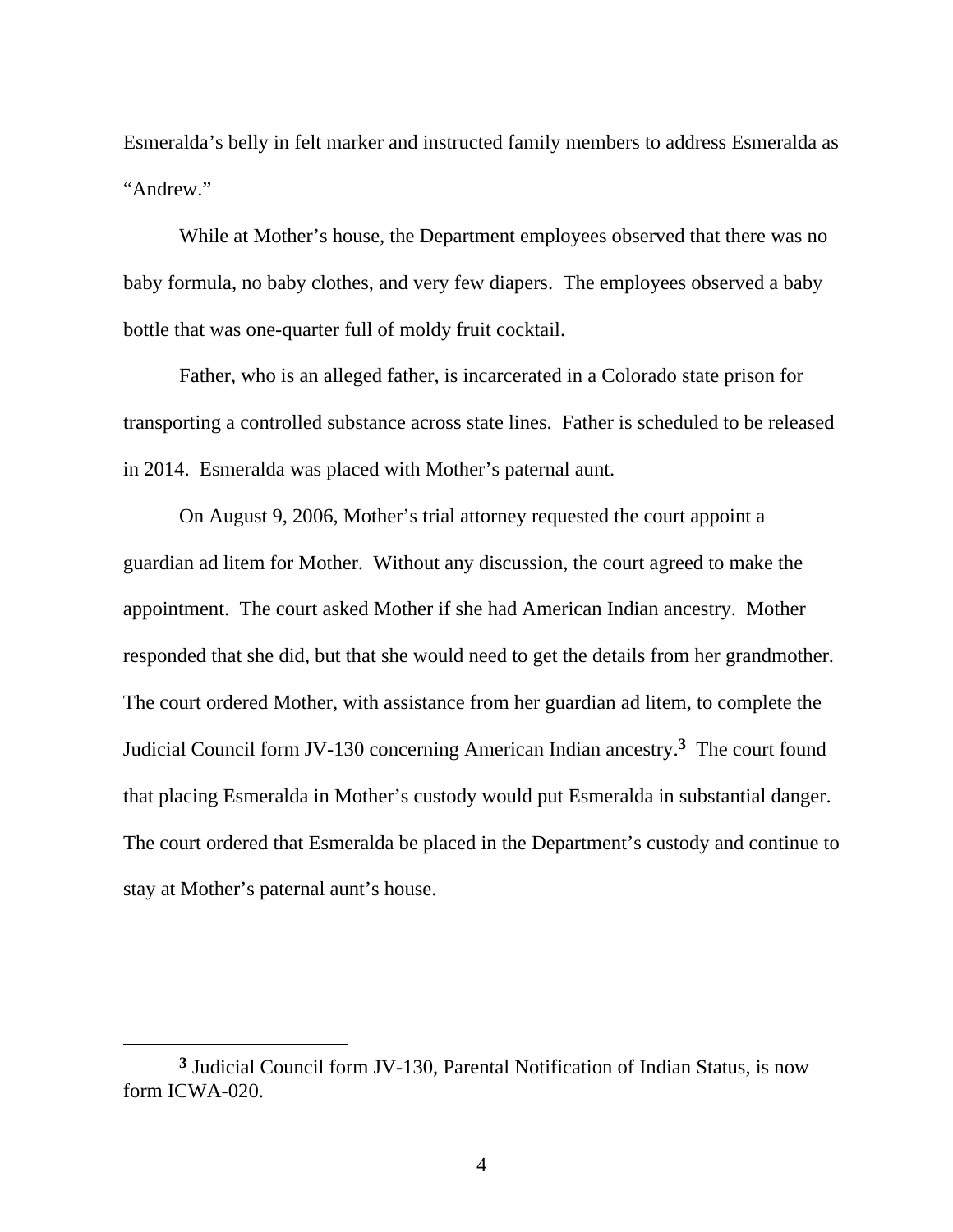Esmeralda's belly in felt marker and instructed family members to address Esmeralda as "Andrew."

 While at Mother's house, the Department employees observed that there was no baby formula, no baby clothes, and very few diapers. The employees observed a baby bottle that was one-quarter full of moldy fruit cocktail.

 Father, who is an alleged father, is incarcerated in a Colorado state prison for transporting a controlled substance across state lines. Father is scheduled to be released in 2014. Esmeralda was placed with Mother's paternal aunt.

 On August 9, 2006, Mother's trial attorney requested the court appoint a guardian ad litem for Mother. Without any discussion, the court agreed to make the appointment. The court asked Mother if she had American Indian ancestry. Mother responded that she did, but that she would need to get the details from her grandmother. The court ordered Mother, with assistance from her guardian ad litem, to complete the Judicial Council form JV-130 concerning American Indian ancestry.**3** The court found that placing Esmeralda in Mother's custody would put Esmeralda in substantial danger. The court ordered that Esmeralda be placed in the Department's custody and continue to stay at Mother's paternal aunt's house.

**<sup>3</sup>** Judicial Council form JV-130, Parental Notification of Indian Status, is now form ICWA-020.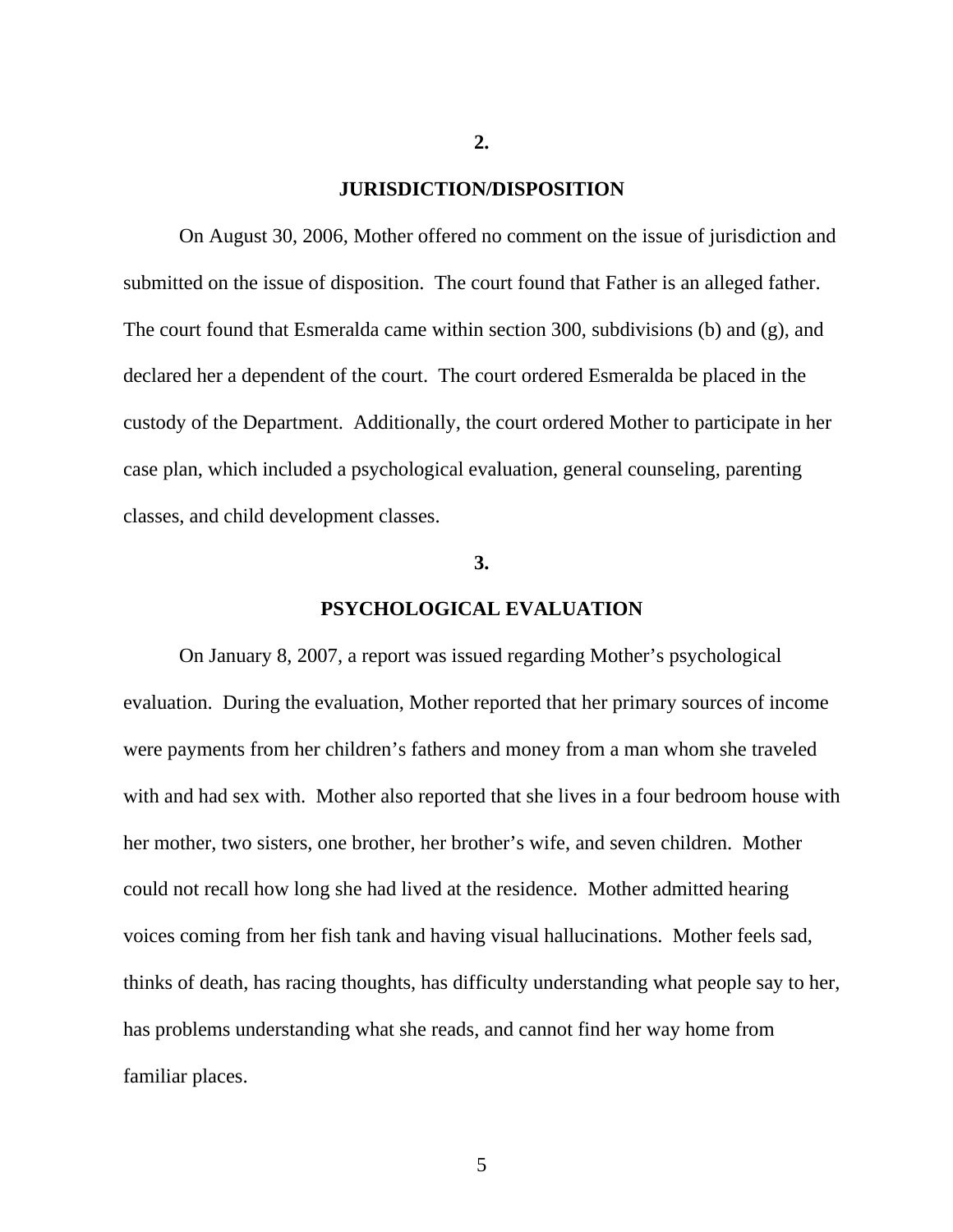#### **JURISDICTION/DISPOSITION**

 On August 30, 2006, Mother offered no comment on the issue of jurisdiction and submitted on the issue of disposition. The court found that Father is an alleged father. The court found that Esmeralda came within section 300, subdivisions (b) and (g), and declared her a dependent of the court. The court ordered Esmeralda be placed in the custody of the Department. Additionally, the court ordered Mother to participate in her case plan, which included a psychological evaluation, general counseling, parenting classes, and child development classes.

#### **3.**

## **PSYCHOLOGICAL EVALUATION**

On January 8, 2007, a report was issued regarding Mother's psychological evaluation. During the evaluation, Mother reported that her primary sources of income were payments from her children's fathers and money from a man whom she traveled with and had sex with. Mother also reported that she lives in a four bedroom house with her mother, two sisters, one brother, her brother's wife, and seven children. Mother could not recall how long she had lived at the residence. Mother admitted hearing voices coming from her fish tank and having visual hallucinations. Mother feels sad, thinks of death, has racing thoughts, has difficulty understanding what people say to her, has problems understanding what she reads, and cannot find her way home from familiar places.

**2.**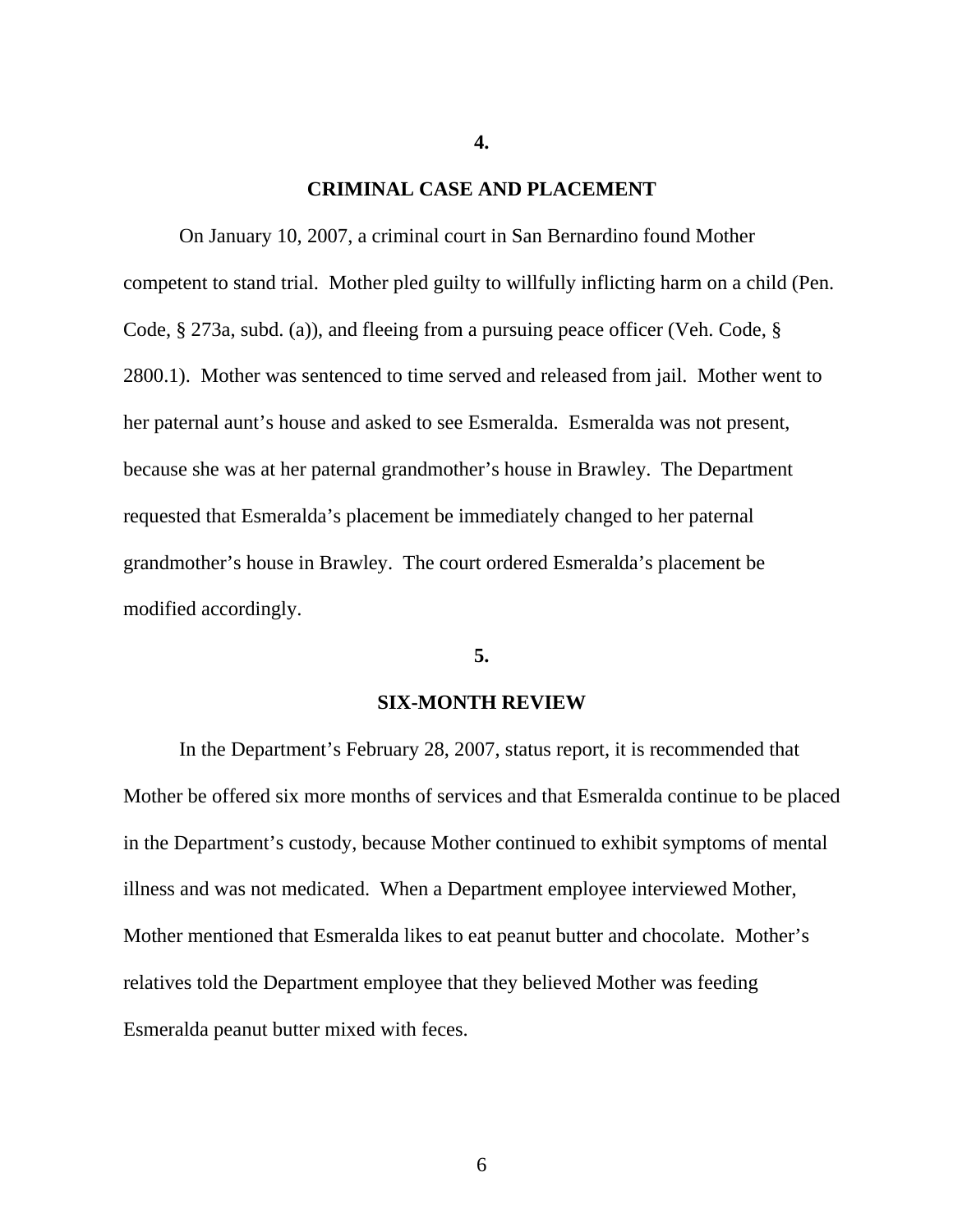#### **CRIMINAL CASE AND PLACEMENT**

**4.** 

On January 10, 2007, a criminal court in San Bernardino found Mother competent to stand trial. Mother pled guilty to willfully inflicting harm on a child (Pen. Code, § 273a, subd. (a)), and fleeing from a pursuing peace officer (Veh. Code, § 2800.1). Mother was sentenced to time served and released from jail. Mother went to her paternal aunt's house and asked to see Esmeralda. Esmeralda was not present, because she was at her paternal grandmother's house in Brawley. The Department requested that Esmeralda's placement be immediately changed to her paternal grandmother's house in Brawley. The court ordered Esmeralda's placement be modified accordingly.

### **5.**

#### **SIX-MONTH REVIEW**

 In the Department's February 28, 2007, status report, it is recommended that Mother be offered six more months of services and that Esmeralda continue to be placed in the Department's custody, because Mother continued to exhibit symptoms of mental illness and was not medicated. When a Department employee interviewed Mother, Mother mentioned that Esmeralda likes to eat peanut butter and chocolate. Mother's relatives told the Department employee that they believed Mother was feeding Esmeralda peanut butter mixed with feces.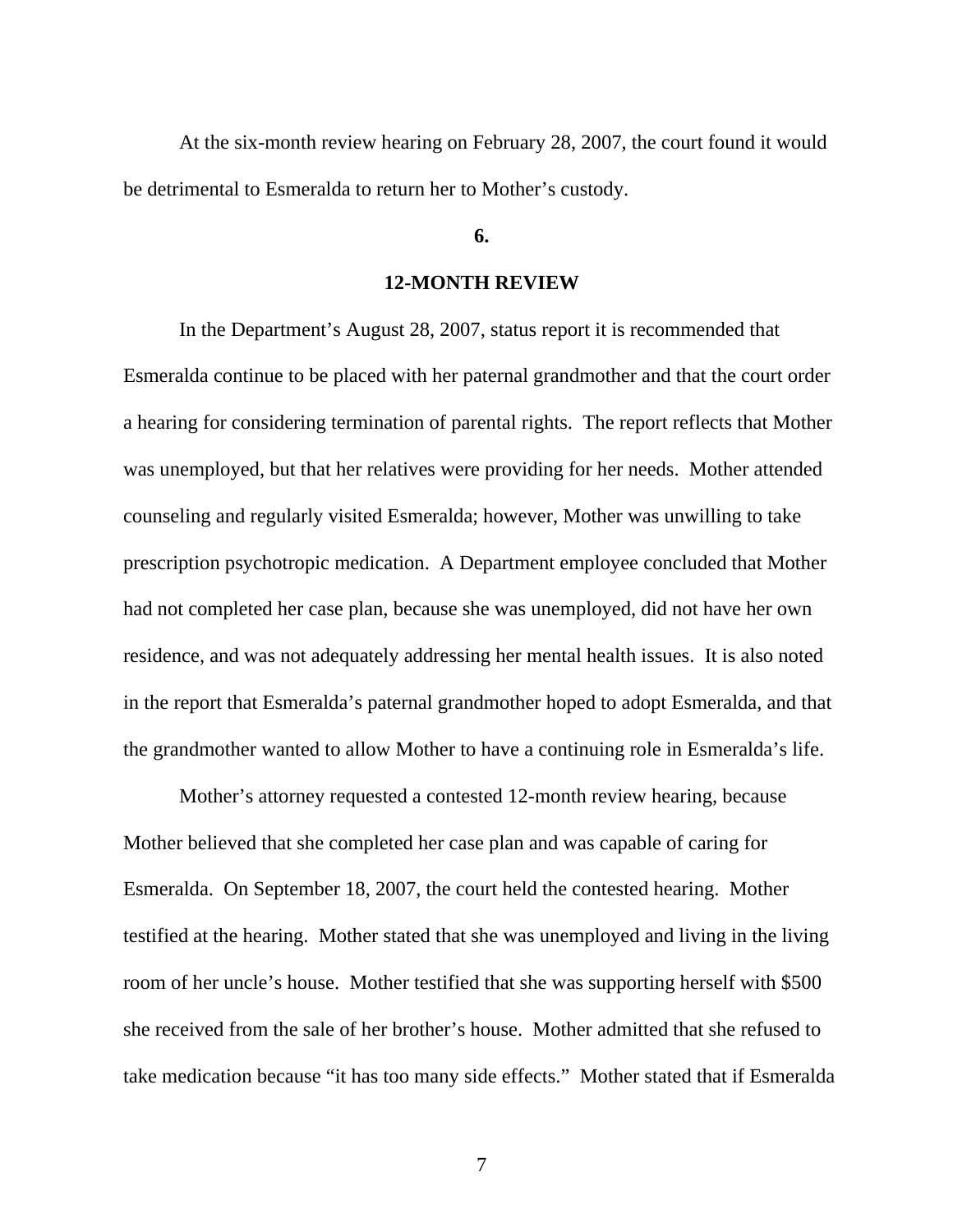At the six-month review hearing on February 28, 2007, the court found it would be detrimental to Esmeralda to return her to Mother's custody.

## **6.**

## **12-MONTH REVIEW**

 In the Department's August 28, 2007, status report it is recommended that Esmeralda continue to be placed with her paternal grandmother and that the court order a hearing for considering termination of parental rights. The report reflects that Mother was unemployed, but that her relatives were providing for her needs. Mother attended counseling and regularly visited Esmeralda; however, Mother was unwilling to take prescription psychotropic medication. A Department employee concluded that Mother had not completed her case plan, because she was unemployed, did not have her own residence, and was not adequately addressing her mental health issues. It is also noted in the report that Esmeralda's paternal grandmother hoped to adopt Esmeralda, and that the grandmother wanted to allow Mother to have a continuing role in Esmeralda's life.

 Mother's attorney requested a contested 12-month review hearing, because Mother believed that she completed her case plan and was capable of caring for Esmeralda. On September 18, 2007, the court held the contested hearing. Mother testified at the hearing. Mother stated that she was unemployed and living in the living room of her uncle's house. Mother testified that she was supporting herself with \$500 she received from the sale of her brother's house. Mother admitted that she refused to take medication because "it has too many side effects." Mother stated that if Esmeralda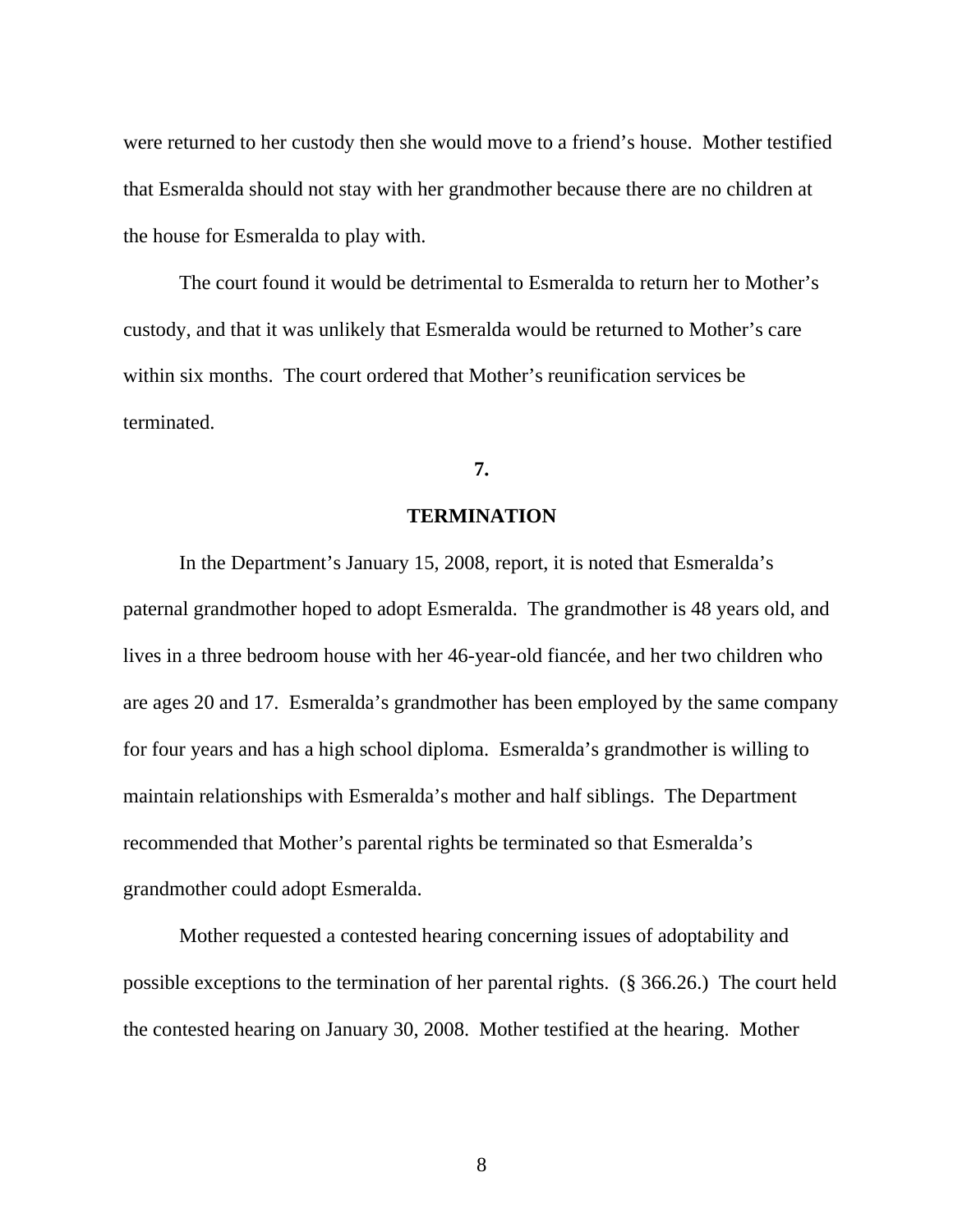were returned to her custody then she would move to a friend's house. Mother testified that Esmeralda should not stay with her grandmother because there are no children at the house for Esmeralda to play with.

 The court found it would be detrimental to Esmeralda to return her to Mother's custody, and that it was unlikely that Esmeralda would be returned to Mother's care within six months. The court ordered that Mother's reunification services be terminated.

## **7.**

# **TERMINATION**

 In the Department's January 15, 2008, report, it is noted that Esmeralda's paternal grandmother hoped to adopt Esmeralda. The grandmother is 48 years old, and lives in a three bedroom house with her 46-year-old fiancée, and her two children who are ages 20 and 17. Esmeralda's grandmother has been employed by the same company for four years and has a high school diploma. Esmeralda's grandmother is willing to maintain relationships with Esmeralda's mother and half siblings. The Department recommended that Mother's parental rights be terminated so that Esmeralda's grandmother could adopt Esmeralda.

 Mother requested a contested hearing concerning issues of adoptability and possible exceptions to the termination of her parental rights. (§ 366.26.) The court held the contested hearing on January 30, 2008. Mother testified at the hearing. Mother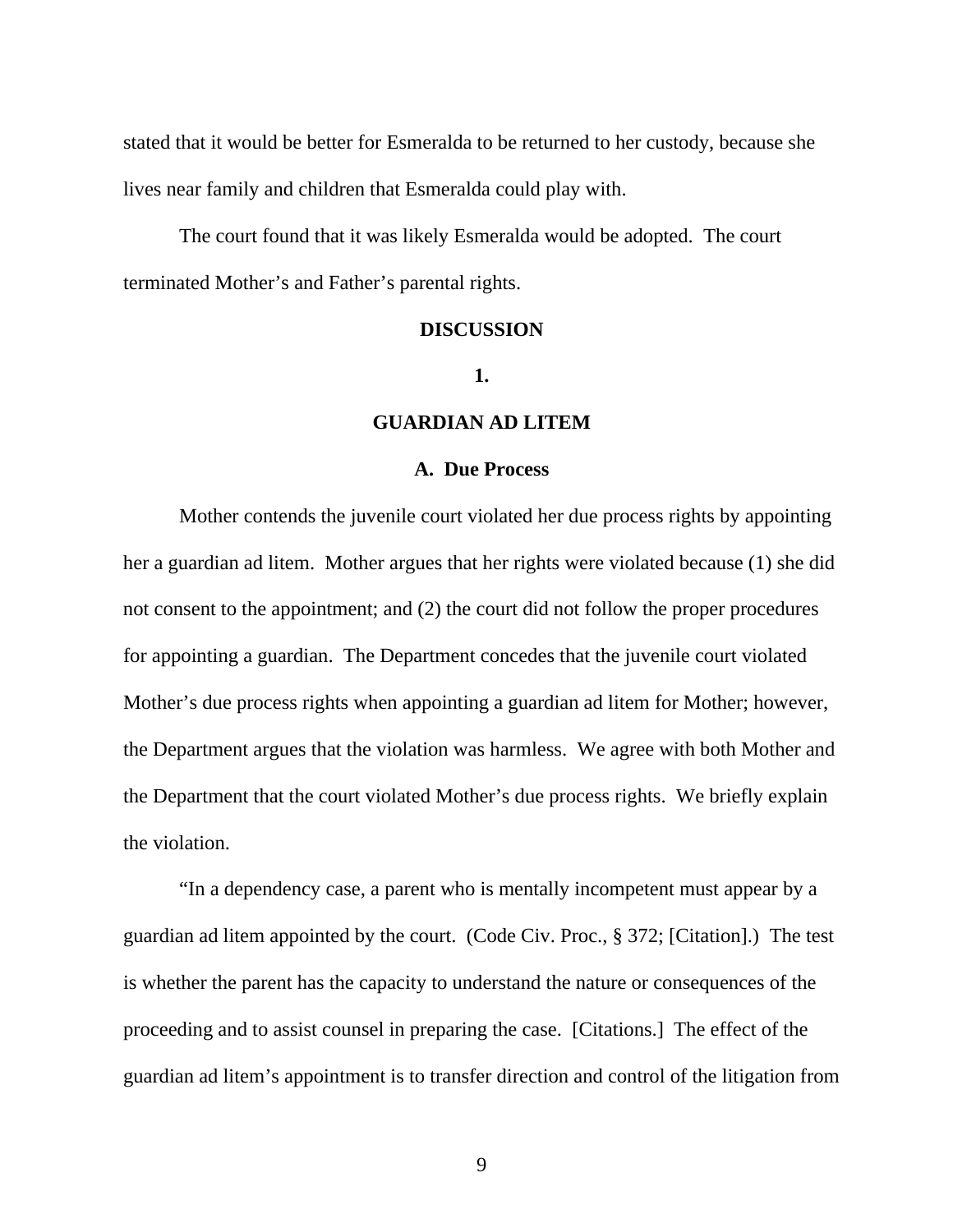stated that it would be better for Esmeralda to be returned to her custody, because she lives near family and children that Esmeralda could play with.

 The court found that it was likely Esmeralda would be adopted. The court terminated Mother's and Father's parental rights.

### **DISCUSSION**

## **1.**

## **GUARDIAN AD LITEM**

#### **A. Due Process**

 Mother contends the juvenile court violated her due process rights by appointing her a guardian ad litem. Mother argues that her rights were violated because (1) she did not consent to the appointment; and (2) the court did not follow the proper procedures for appointing a guardian. The Department concedes that the juvenile court violated Mother's due process rights when appointing a guardian ad litem for Mother; however, the Department argues that the violation was harmless. We agree with both Mother and the Department that the court violated Mother's due process rights. We briefly explain the violation.

 "In a dependency case, a parent who is mentally incompetent must appear by a guardian ad litem appointed by the court. (Code Civ. Proc., § 372; [Citation].) The test is whether the parent has the capacity to understand the nature or consequences of the proceeding and to assist counsel in preparing the case. [Citations.] The effect of the guardian ad litem's appointment is to transfer direction and control of the litigation from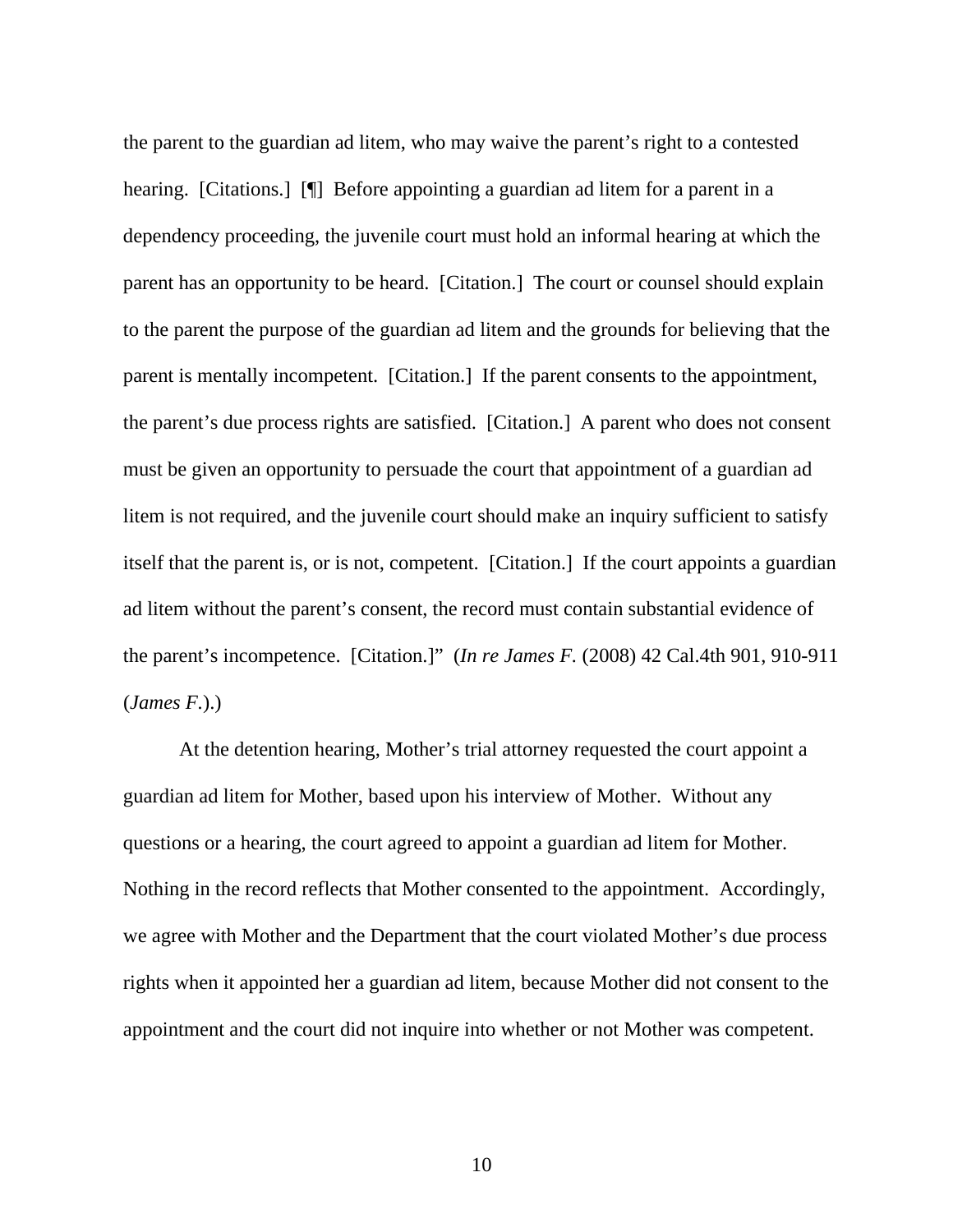the parent to the guardian ad litem, who may waive the parent's right to a contested hearing. [Citations.] **[**[] Before appointing a guardian ad litem for a parent in a dependency proceeding, the juvenile court must hold an informal hearing at which the parent has an opportunity to be heard. [Citation.] The court or counsel should explain to the parent the purpose of the guardian ad litem and the grounds for believing that the parent is mentally incompetent. [Citation.] If the parent consents to the appointment, the parent's due process rights are satisfied. [Citation.] A parent who does not consent must be given an opportunity to persuade the court that appointment of a guardian ad litem is not required, and the juvenile court should make an inquiry sufficient to satisfy itself that the parent is, or is not, competent. [Citation.] If the court appoints a guardian ad litem without the parent's consent, the record must contain substantial evidence of the parent's incompetence. [Citation.]" (*In re James F.* (2008) 42 Cal.4th 901, 910-911 (*James F.*).)

 At the detention hearing, Mother's trial attorney requested the court appoint a guardian ad litem for Mother, based upon his interview of Mother. Without any questions or a hearing, the court agreed to appoint a guardian ad litem for Mother. Nothing in the record reflects that Mother consented to the appointment. Accordingly, we agree with Mother and the Department that the court violated Mother's due process rights when it appointed her a guardian ad litem, because Mother did not consent to the appointment and the court did not inquire into whether or not Mother was competent.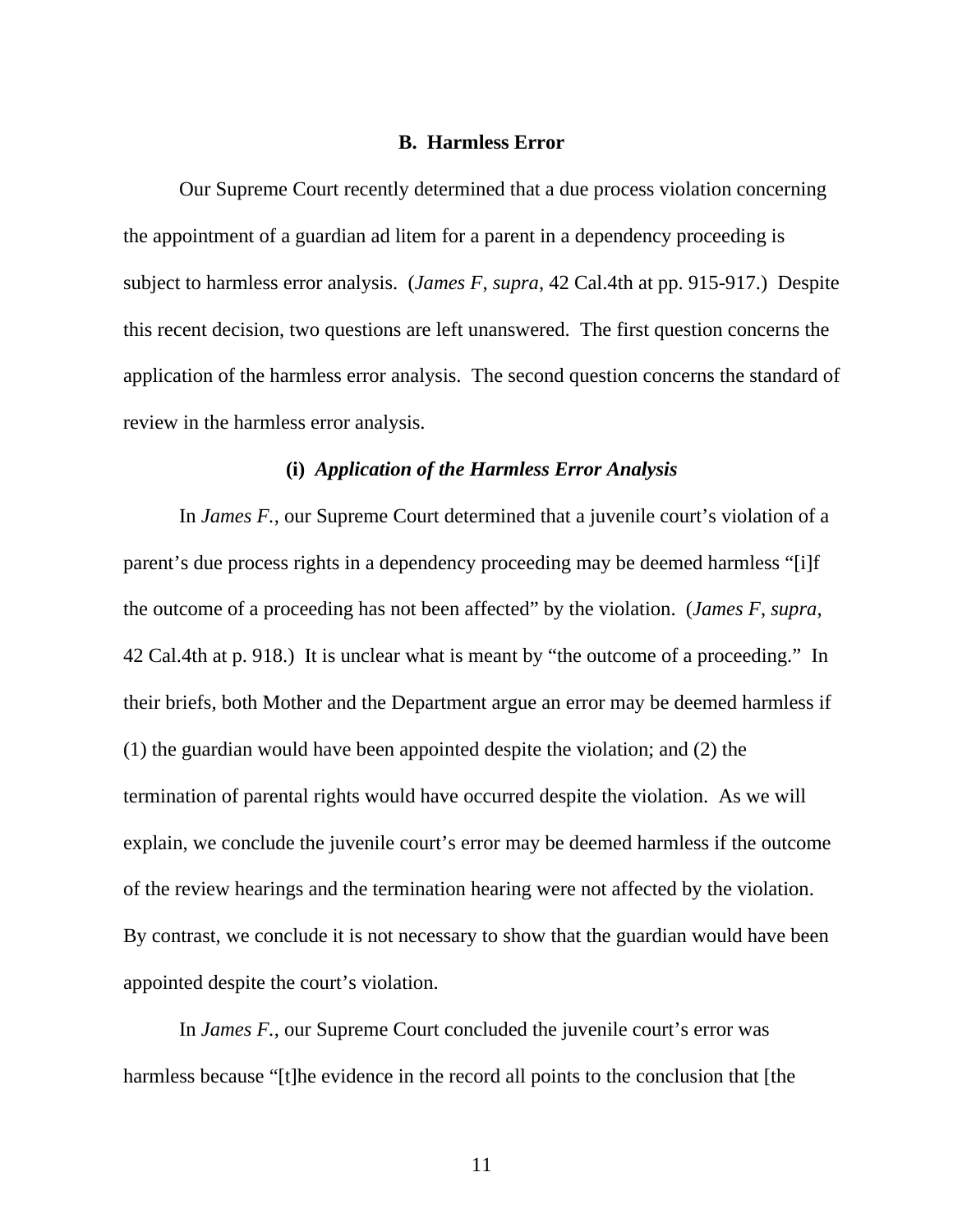### **B. Harmless Error**

 Our Supreme Court recently determined that a due process violation concerning the appointment of a guardian ad litem for a parent in a dependency proceeding is subject to harmless error analysis. (*James F*, *supra*, 42 Cal.4th at pp. 915-917.) Despite this recent decision, two questions are left unanswered. The first question concerns the application of the harmless error analysis. The second question concerns the standard of review in the harmless error analysis.

#### **(i)** *Application of the Harmless Error Analysis*

 In *James F.*, our Supreme Court determined that a juvenile court's violation of a parent's due process rights in a dependency proceeding may be deemed harmless "[i]f the outcome of a proceeding has not been affected" by the violation. (*James F*, *supra*, 42 Cal.4th at p. 918.) It is unclear what is meant by "the outcome of a proceeding." In their briefs, both Mother and the Department argue an error may be deemed harmless if (1) the guardian would have been appointed despite the violation; and (2) the termination of parental rights would have occurred despite the violation. As we will explain, we conclude the juvenile court's error may be deemed harmless if the outcome of the review hearings and the termination hearing were not affected by the violation. By contrast, we conclude it is not necessary to show that the guardian would have been appointed despite the court's violation.

In *James F.*, our Supreme Court concluded the juvenile court's error was harmless because "[t]he evidence in the record all points to the conclusion that [the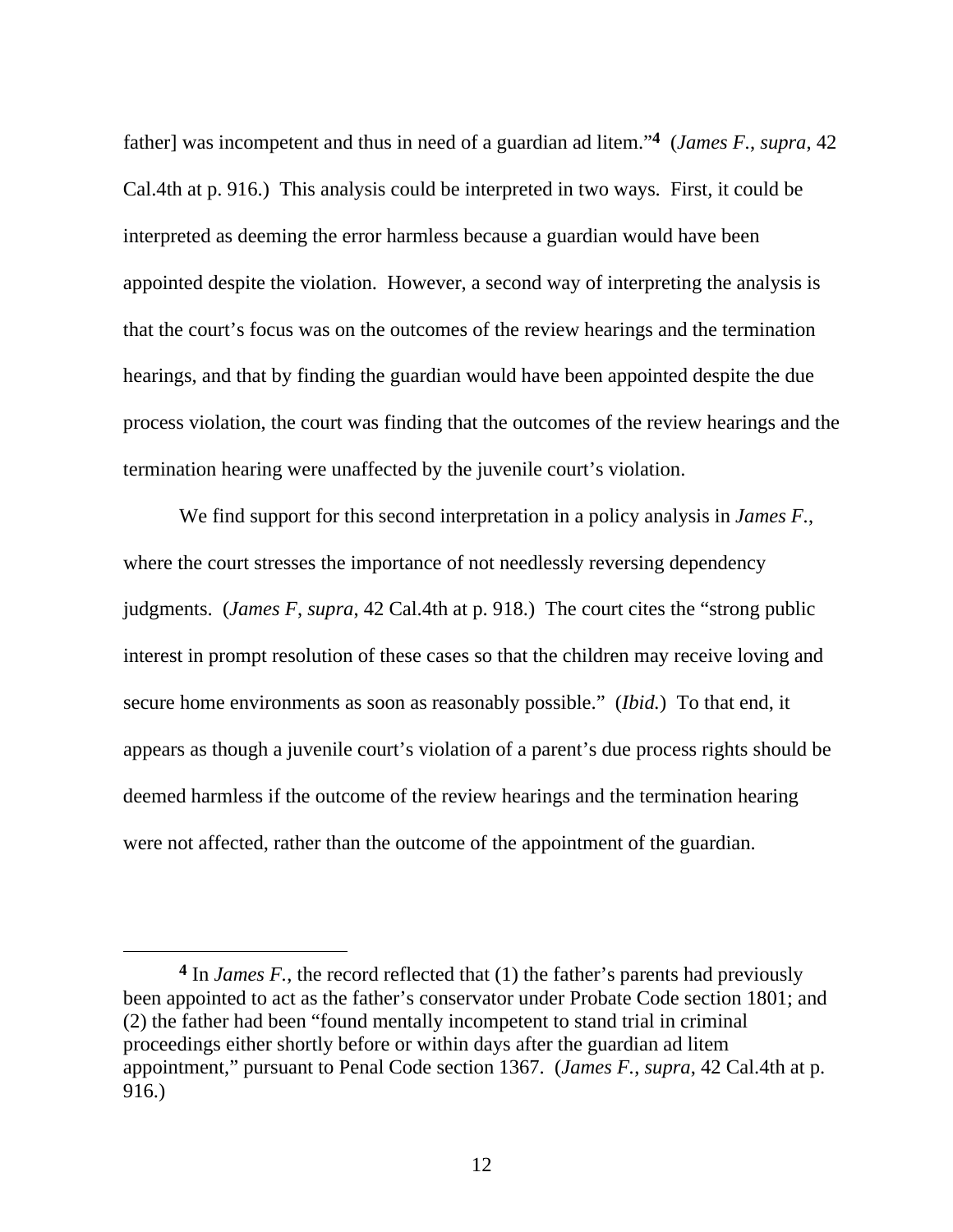father] was incompetent and thus in need of a guardian ad litem."**4** (*James F.*, *supra*, 42 Cal.4th at p. 916.) This analysis could be interpreted in two ways. First, it could be interpreted as deeming the error harmless because a guardian would have been appointed despite the violation. However, a second way of interpreting the analysis is that the court's focus was on the outcomes of the review hearings and the termination hearings, and that by finding the guardian would have been appointed despite the due process violation, the court was finding that the outcomes of the review hearings and the termination hearing were unaffected by the juvenile court's violation.

We find support for this second interpretation in a policy analysis in *James F.*, where the court stresses the importance of not needlessly reversing dependency judgments. (*James F*, *supra*, 42 Cal.4th at p. 918.) The court cites the "strong public interest in prompt resolution of these cases so that the children may receive loving and secure home environments as soon as reasonably possible." (*Ibid.*) To that end, it appears as though a juvenile court's violation of a parent's due process rights should be deemed harmless if the outcome of the review hearings and the termination hearing were not affected, rather than the outcome of the appointment of the guardian.

 $\overline{a}$ 

**<sup>4</sup>** In *James F.*, the record reflected that (1) the father's parents had previously been appointed to act as the father's conservator under Probate Code section 1801; and (2) the father had been "found mentally incompetent to stand trial in criminal proceedings either shortly before or within days after the guardian ad litem appointment," pursuant to Penal Code section 1367. (*James F.*, *supra*, 42 Cal.4th at p. 916.)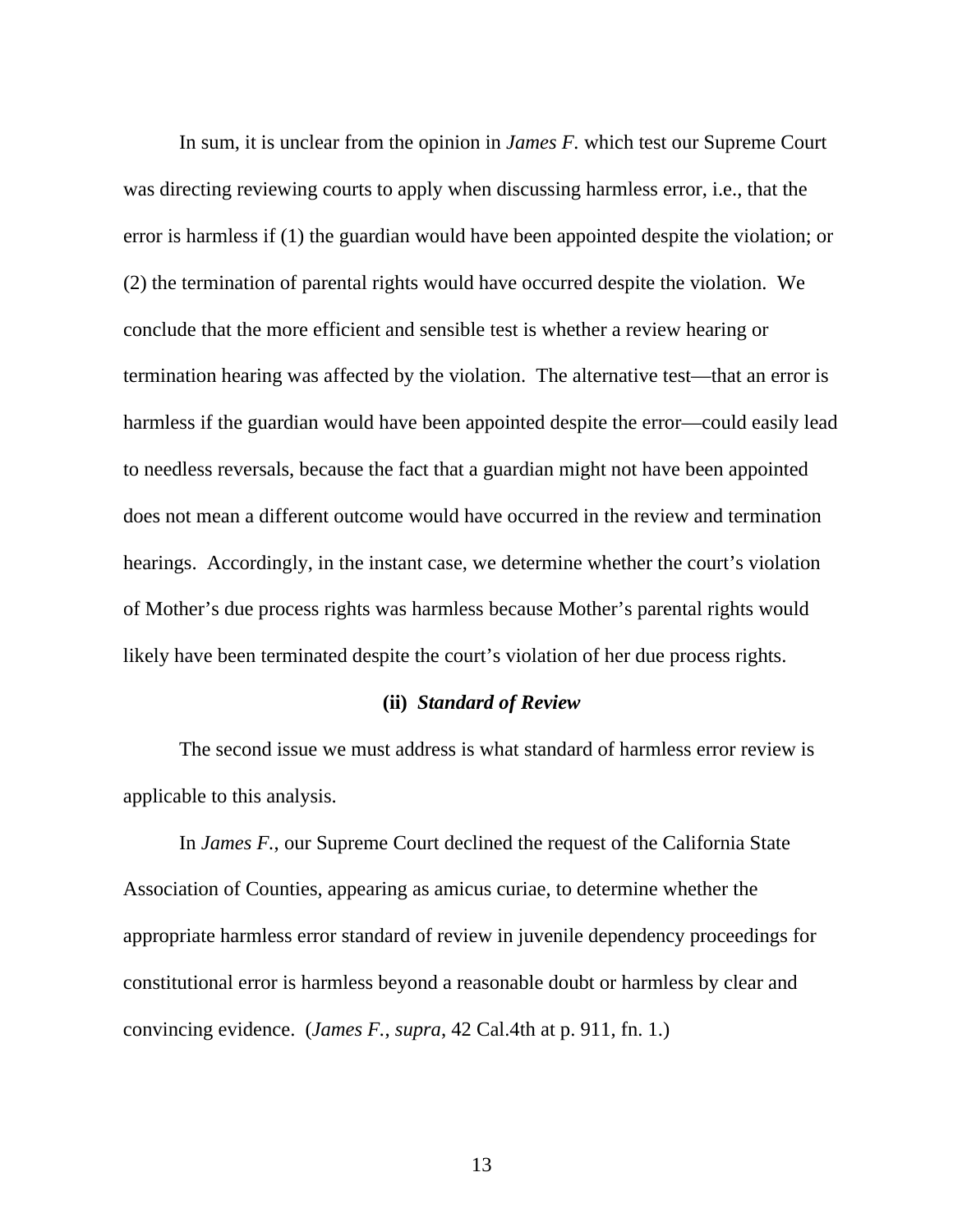In sum, it is unclear from the opinion in *James F.* which test our Supreme Court was directing reviewing courts to apply when discussing harmless error, i.e., that the error is harmless if (1) the guardian would have been appointed despite the violation; or (2) the termination of parental rights would have occurred despite the violation. We conclude that the more efficient and sensible test is whether a review hearing or termination hearing was affected by the violation. The alternative test—that an error is harmless if the guardian would have been appointed despite the error—could easily lead to needless reversals, because the fact that a guardian might not have been appointed does not mean a different outcome would have occurred in the review and termination hearings. Accordingly, in the instant case, we determine whether the court's violation of Mother's due process rights was harmless because Mother's parental rights would likely have been terminated despite the court's violation of her due process rights.

## **(ii)** *Standard of Review*

 The second issue we must address is what standard of harmless error review is applicable to this analysis.

 In *James F.*, our Supreme Court declined the request of the California State Association of Counties, appearing as amicus curiae, to determine whether the appropriate harmless error standard of review in juvenile dependency proceedings for constitutional error is harmless beyond a reasonable doubt or harmless by clear and convincing evidence. (*James F.*, *supra*, 42 Cal.4th at p. 911, fn. 1.)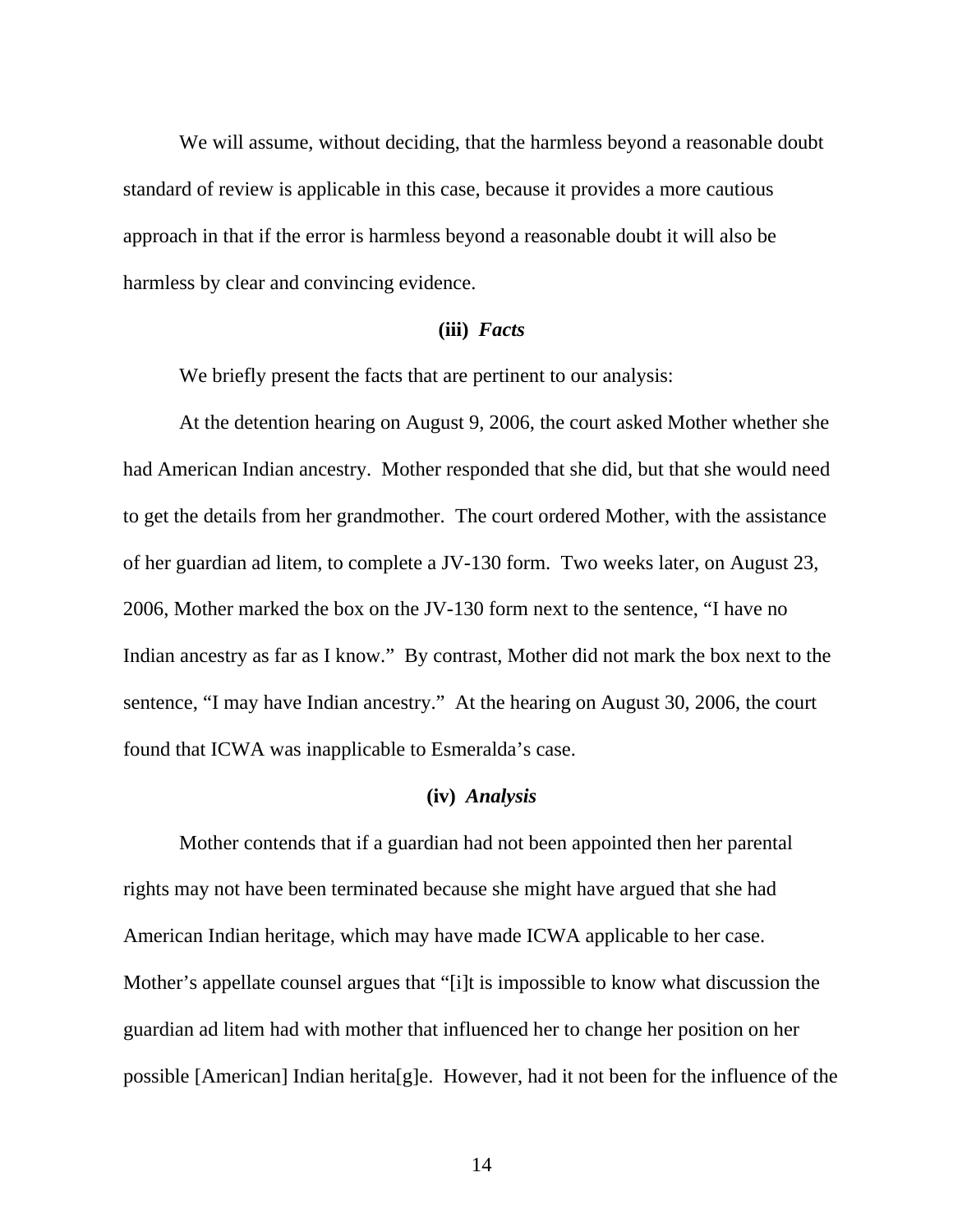We will assume, without deciding, that the harmless beyond a reasonable doubt standard of review is applicable in this case, because it provides a more cautious approach in that if the error is harmless beyond a reasonable doubt it will also be harmless by clear and convincing evidence.

#### **(iii)** *Facts*

We briefly present the facts that are pertinent to our analysis:

 At the detention hearing on August 9, 2006, the court asked Mother whether she had American Indian ancestry. Mother responded that she did, but that she would need to get the details from her grandmother. The court ordered Mother, with the assistance of her guardian ad litem, to complete a JV-130 form. Two weeks later, on August 23, 2006, Mother marked the box on the JV-130 form next to the sentence, "I have no Indian ancestry as far as I know." By contrast, Mother did not mark the box next to the sentence, "I may have Indian ancestry." At the hearing on August 30, 2006, the court found that ICWA was inapplicable to Esmeralda's case.

#### **(iv)** *Analysis*

 Mother contends that if a guardian had not been appointed then her parental rights may not have been terminated because she might have argued that she had American Indian heritage, which may have made ICWA applicable to her case. Mother's appellate counsel argues that "[i]t is impossible to know what discussion the guardian ad litem had with mother that influenced her to change her position on her possible [American] Indian herita[g]e. However, had it not been for the influence of the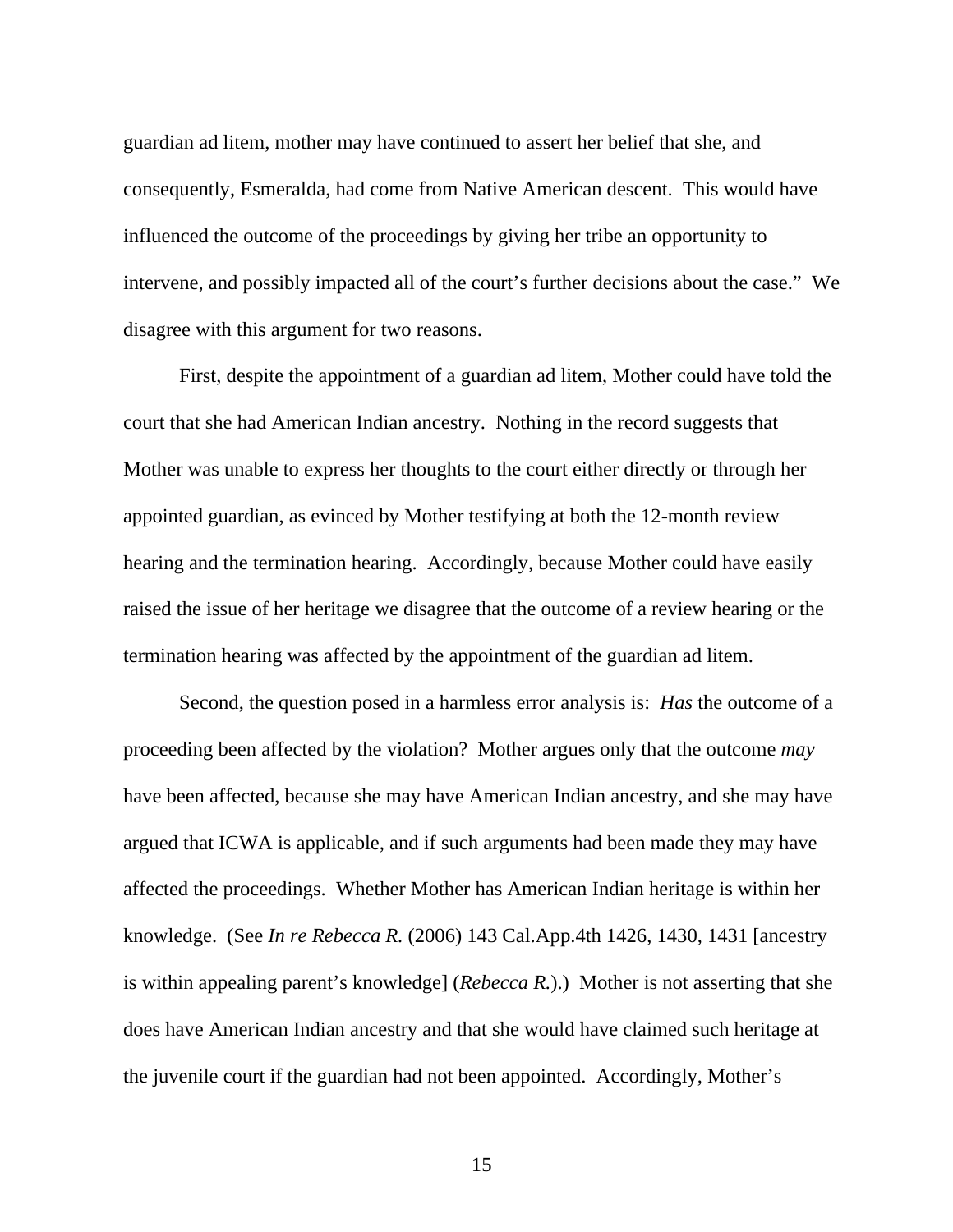guardian ad litem, mother may have continued to assert her belief that she, and consequently, Esmeralda, had come from Native American descent. This would have influenced the outcome of the proceedings by giving her tribe an opportunity to intervene, and possibly impacted all of the court's further decisions about the case." We disagree with this argument for two reasons.

First, despite the appointment of a guardian ad litem, Mother could have told the court that she had American Indian ancestry. Nothing in the record suggests that Mother was unable to express her thoughts to the court either directly or through her appointed guardian, as evinced by Mother testifying at both the 12-month review hearing and the termination hearing. Accordingly, because Mother could have easily raised the issue of her heritage we disagree that the outcome of a review hearing or the termination hearing was affected by the appointment of the guardian ad litem.

Second, the question posed in a harmless error analysis is: *Has* the outcome of a proceeding been affected by the violation? Mother argues only that the outcome *may* have been affected, because she may have American Indian ancestry, and she may have argued that ICWA is applicable, and if such arguments had been made they may have affected the proceedings. Whether Mother has American Indian heritage is within her knowledge. (See *In re Rebecca R.* (2006) 143 Cal.App.4th 1426, 1430, 1431 [ancestry is within appealing parent's knowledge] (*Rebecca R.*).) Mother is not asserting that she does have American Indian ancestry and that she would have claimed such heritage at the juvenile court if the guardian had not been appointed. Accordingly, Mother's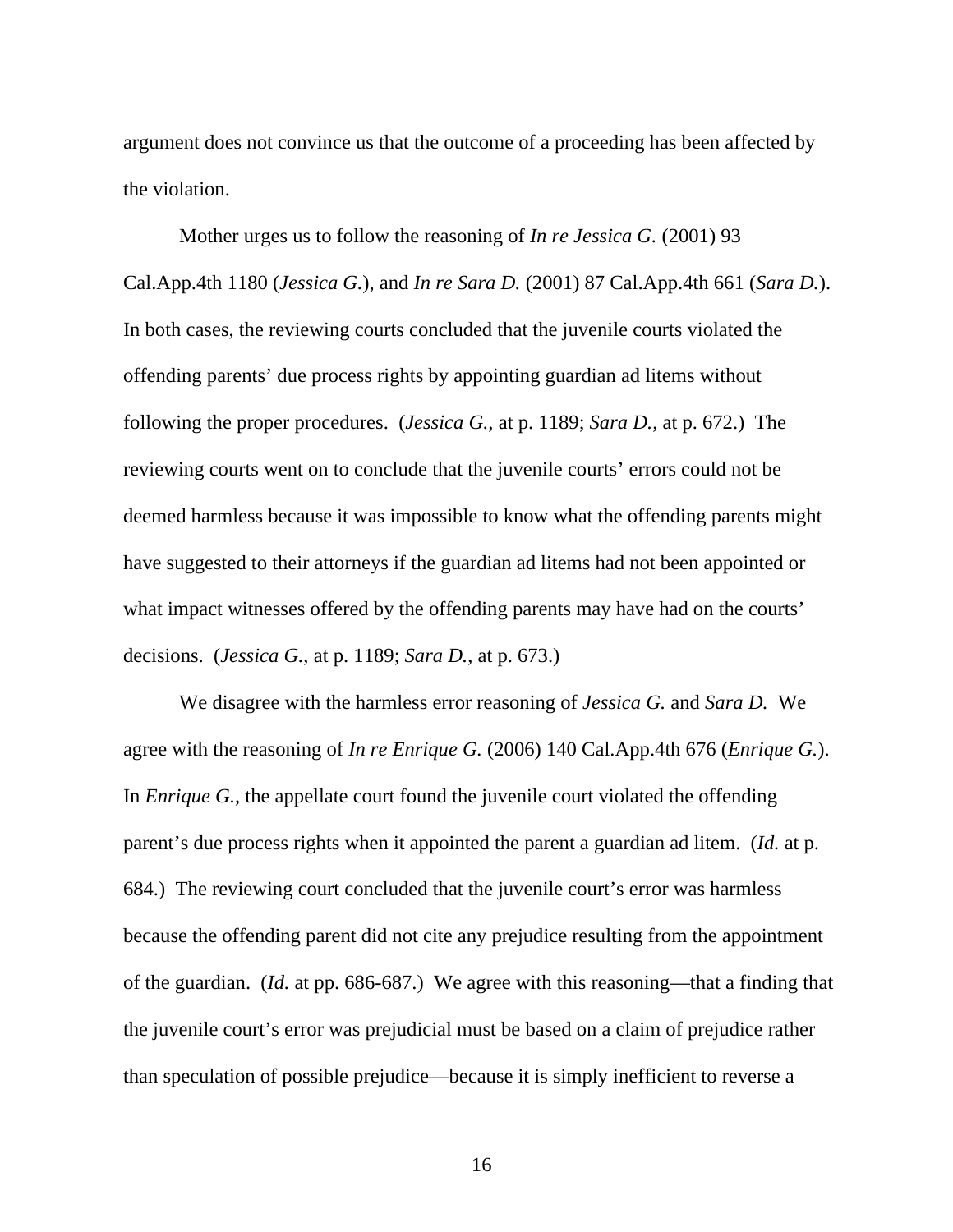argument does not convince us that the outcome of a proceeding has been affected by the violation.

Mother urges us to follow the reasoning of *In re Jessica G.* (2001) 93 Cal.App.4th 1180 (*Jessica G.*), and *In re Sara D.* (2001) 87 Cal.App.4th 661 (*Sara D.*). In both cases, the reviewing courts concluded that the juvenile courts violated the offending parents' due process rights by appointing guardian ad litems without following the proper procedures. (*Jessica G.*, at p. 1189; *Sara D.*, at p. 672.) The reviewing courts went on to conclude that the juvenile courts' errors could not be deemed harmless because it was impossible to know what the offending parents might have suggested to their attorneys if the guardian ad litems had not been appointed or what impact witnesses offered by the offending parents may have had on the courts' decisions. (*Jessica G.*, at p. 1189; *Sara D.*, at p. 673.)

We disagree with the harmless error reasoning of *Jessica G.* and *Sara D.* We agree with the reasoning of *In re Enrique G.* (2006) 140 Cal.App.4th 676 (*Enrique G.*). In *Enrique G.*, the appellate court found the juvenile court violated the offending parent's due process rights when it appointed the parent a guardian ad litem. (*Id.* at p. 684.) The reviewing court concluded that the juvenile court's error was harmless because the offending parent did not cite any prejudice resulting from the appointment of the guardian. (*Id.* at pp. 686-687.) We agree with this reasoning—that a finding that the juvenile court's error was prejudicial must be based on a claim of prejudice rather than speculation of possible prejudice—because it is simply inefficient to reverse a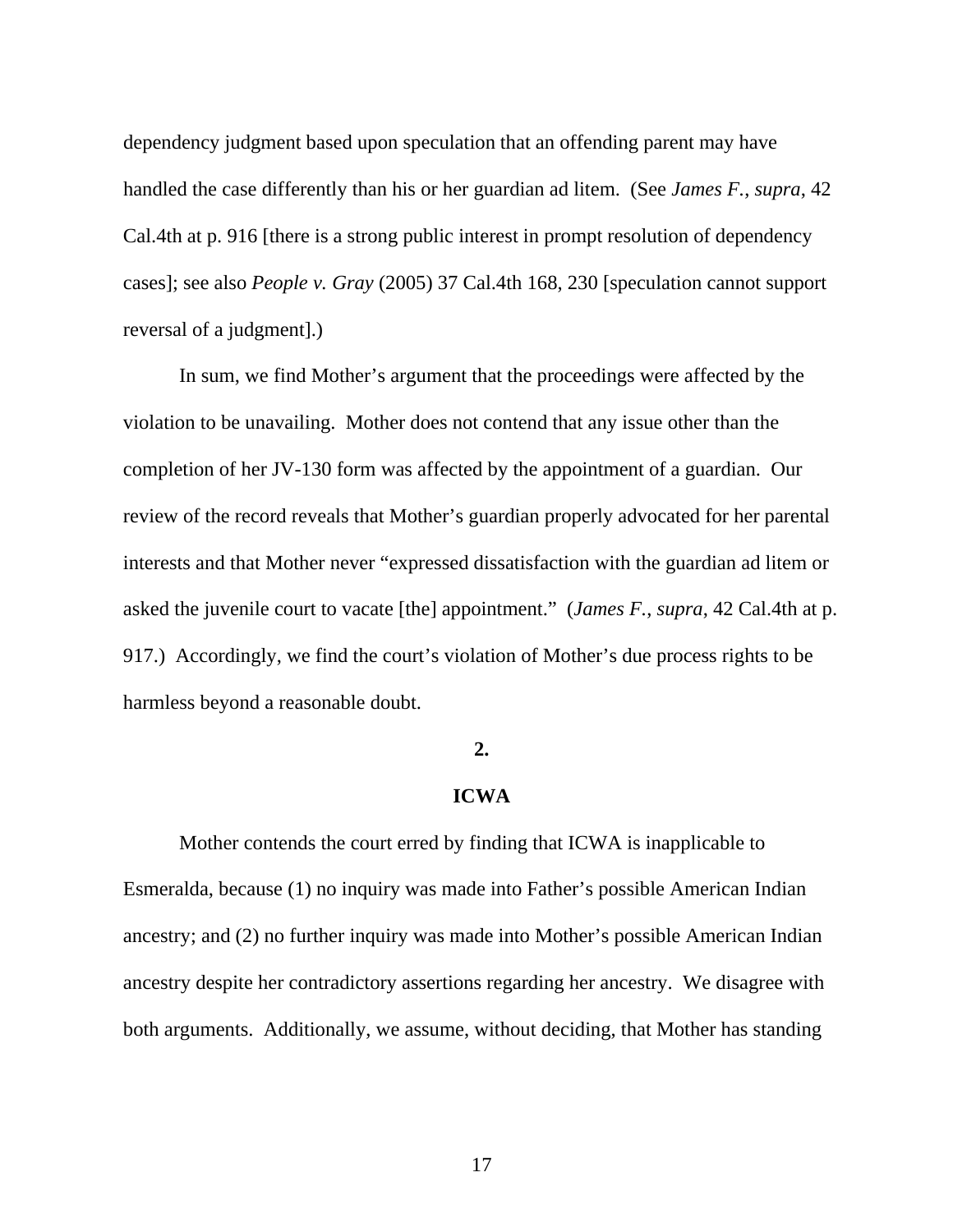dependency judgment based upon speculation that an offending parent may have handled the case differently than his or her guardian ad litem. (See *James F.*, *supra*, 42 Cal.4th at p. 916 [there is a strong public interest in prompt resolution of dependency cases]; see also *People v. Gray* (2005) 37 Cal.4th 168, 230 [speculation cannot support reversal of a judgment].)

In sum, we find Mother's argument that the proceedings were affected by the violation to be unavailing. Mother does not contend that any issue other than the completion of her JV-130 form was affected by the appointment of a guardian. Our review of the record reveals that Mother's guardian properly advocated for her parental interests and that Mother never "expressed dissatisfaction with the guardian ad litem or asked the juvenile court to vacate [the] appointment." (*James F.*, *supra*, 42 Cal.4th at p. 917.) Accordingly, we find the court's violation of Mother's due process rights to be harmless beyond a reasonable doubt.

### **2.**

## **ICWA**

 Mother contends the court erred by finding that ICWA is inapplicable to Esmeralda, because (1) no inquiry was made into Father's possible American Indian ancestry; and (2) no further inquiry was made into Mother's possible American Indian ancestry despite her contradictory assertions regarding her ancestry. We disagree with both arguments. Additionally, we assume, without deciding, that Mother has standing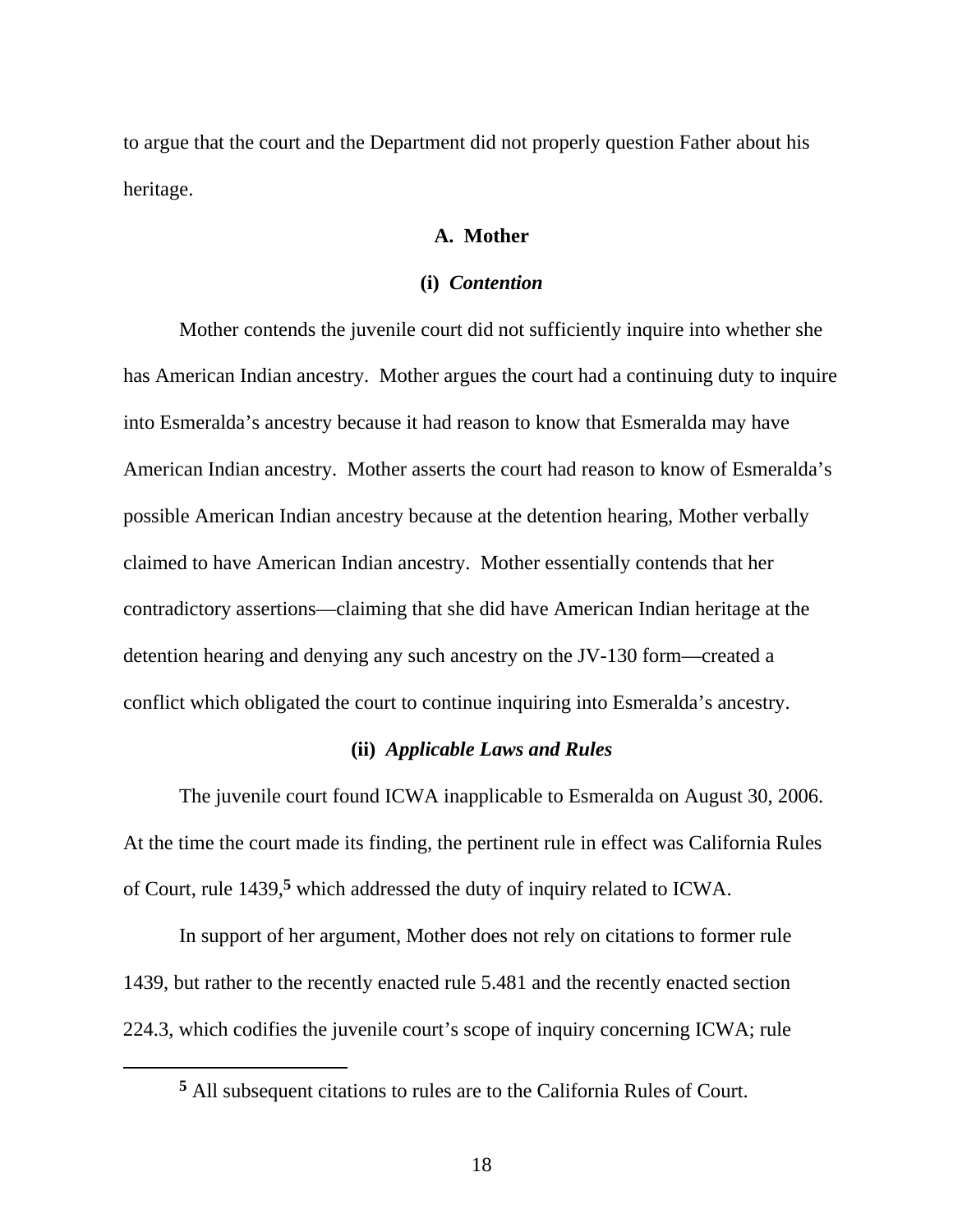to argue that the court and the Department did not properly question Father about his heritage.

# **A. Mother**

## **(i)** *Contention*

Mother contends the juvenile court did not sufficiently inquire into whether she has American Indian ancestry. Mother argues the court had a continuing duty to inquire into Esmeralda's ancestry because it had reason to know that Esmeralda may have American Indian ancestry. Mother asserts the court had reason to know of Esmeralda's possible American Indian ancestry because at the detention hearing, Mother verbally claimed to have American Indian ancestry. Mother essentially contends that her contradictory assertions—claiming that she did have American Indian heritage at the detention hearing and denying any such ancestry on the JV-130 form—created a conflict which obligated the court to continue inquiring into Esmeralda's ancestry.

## **(ii)** *Applicable Laws and Rules*

 The juvenile court found ICWA inapplicable to Esmeralda on August 30, 2006. At the time the court made its finding, the pertinent rule in effect was California Rules of Court, rule 1439,**5** which addressed the duty of inquiry related to ICWA.

In support of her argument, Mother does not rely on citations to former rule 1439, but rather to the recently enacted rule 5.481 and the recently enacted section 224.3, which codifies the juvenile court's scope of inquiry concerning ICWA; rule

**<sup>5</sup>** All subsequent citations to rules are to the California Rules of Court.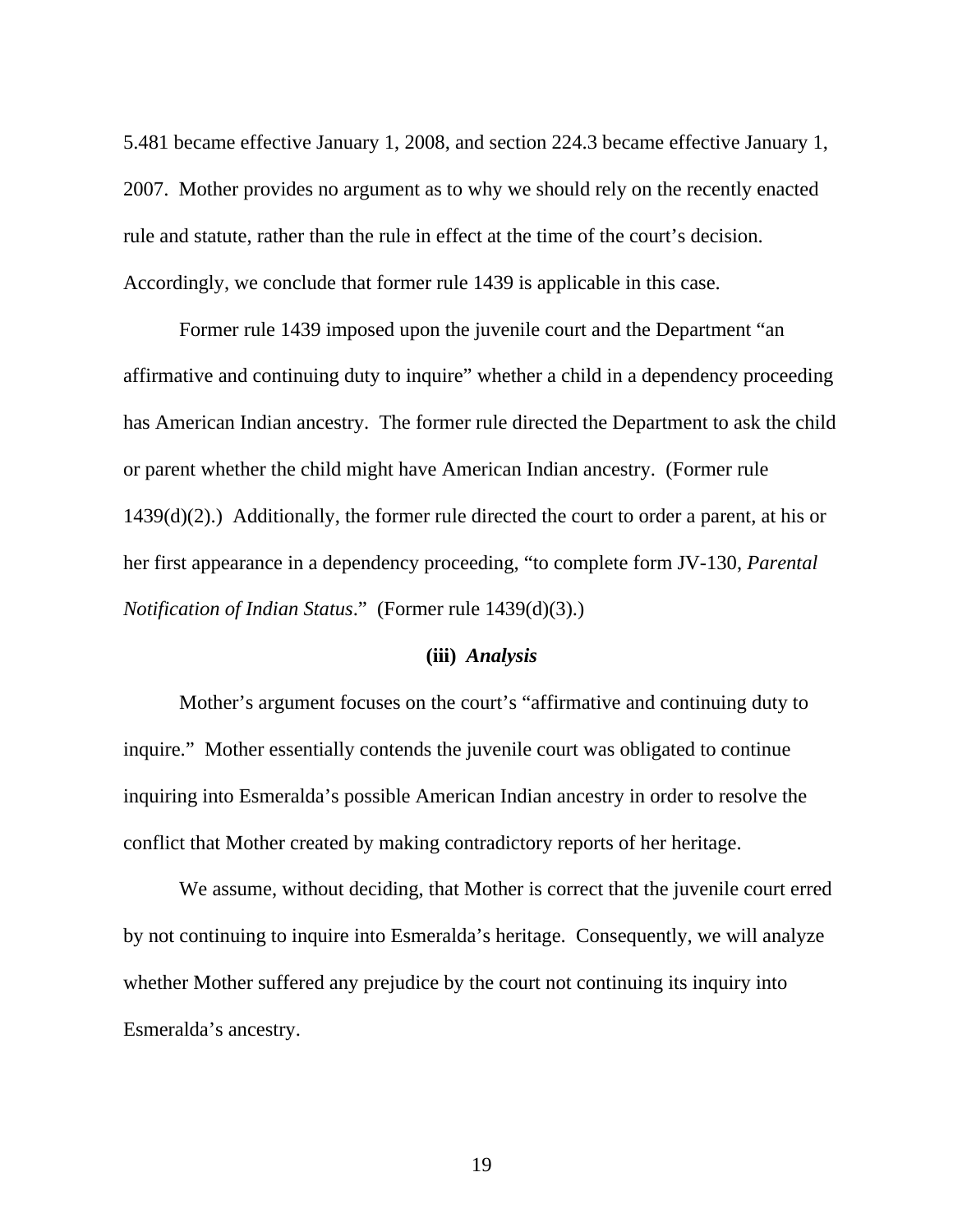5.481 became effective January 1, 2008, and section 224.3 became effective January 1, 2007. Mother provides no argument as to why we should rely on the recently enacted rule and statute, rather than the rule in effect at the time of the court's decision. Accordingly, we conclude that former rule 1439 is applicable in this case.

Former rule 1439 imposed upon the juvenile court and the Department "an affirmative and continuing duty to inquire" whether a child in a dependency proceeding has American Indian ancestry. The former rule directed the Department to ask the child or parent whether the child might have American Indian ancestry. (Former rule  $1439(d)(2)$ .) Additionally, the former rule directed the court to order a parent, at his or her first appearance in a dependency proceeding, "to complete form JV-130, *Parental Notification of Indian Status*." (Former rule 1439(d)(3).)

#### **(iii)** *Analysis*

 Mother's argument focuses on the court's "affirmative and continuing duty to inquire." Mother essentially contends the juvenile court was obligated to continue inquiring into Esmeralda's possible American Indian ancestry in order to resolve the conflict that Mother created by making contradictory reports of her heritage.

 We assume, without deciding, that Mother is correct that the juvenile court erred by not continuing to inquire into Esmeralda's heritage. Consequently, we will analyze whether Mother suffered any prejudice by the court not continuing its inquiry into Esmeralda's ancestry.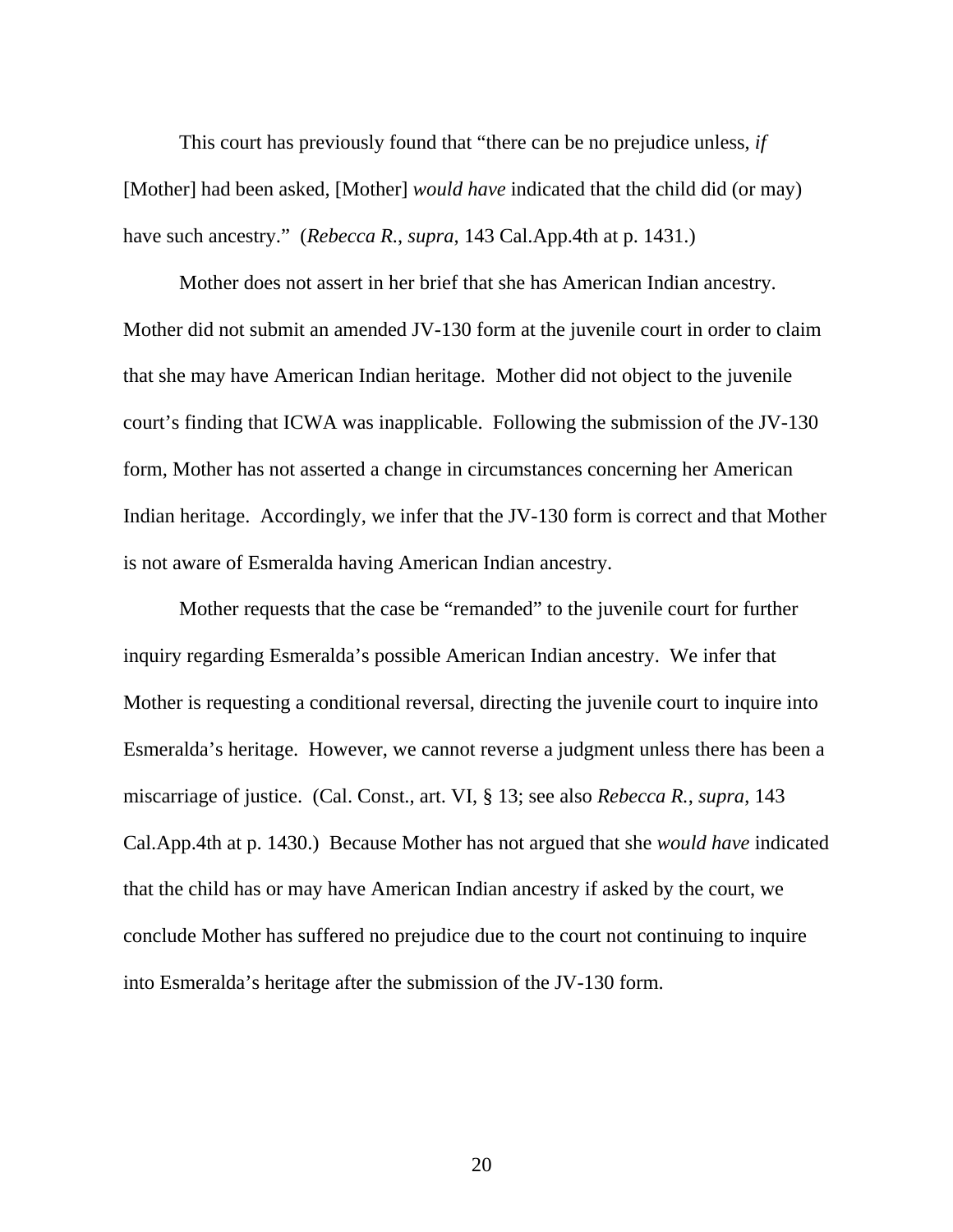This court has previously found that "there can be no prejudice unless, *if* [Mother] had been asked, [Mother] *would have* indicated that the child did (or may) have such ancestry." (*Rebecca R.*, *supra*, 143 Cal.App.4th at p. 1431.)

 Mother does not assert in her brief that she has American Indian ancestry. Mother did not submit an amended JV-130 form at the juvenile court in order to claim that she may have American Indian heritage. Mother did not object to the juvenile court's finding that ICWA was inapplicable. Following the submission of the JV-130 form, Mother has not asserted a change in circumstances concerning her American Indian heritage. Accordingly, we infer that the JV-130 form is correct and that Mother is not aware of Esmeralda having American Indian ancestry.

 Mother requests that the case be "remanded" to the juvenile court for further inquiry regarding Esmeralda's possible American Indian ancestry. We infer that Mother is requesting a conditional reversal, directing the juvenile court to inquire into Esmeralda's heritage. However, we cannot reverse a judgment unless there has been a miscarriage of justice. (Cal. Const., art. VI, § 13; see also *Rebecca R.*, *supra*, 143 Cal.App.4th at p. 1430.) Because Mother has not argued that she *would have* indicated that the child has or may have American Indian ancestry if asked by the court, we conclude Mother has suffered no prejudice due to the court not continuing to inquire into Esmeralda's heritage after the submission of the JV-130 form.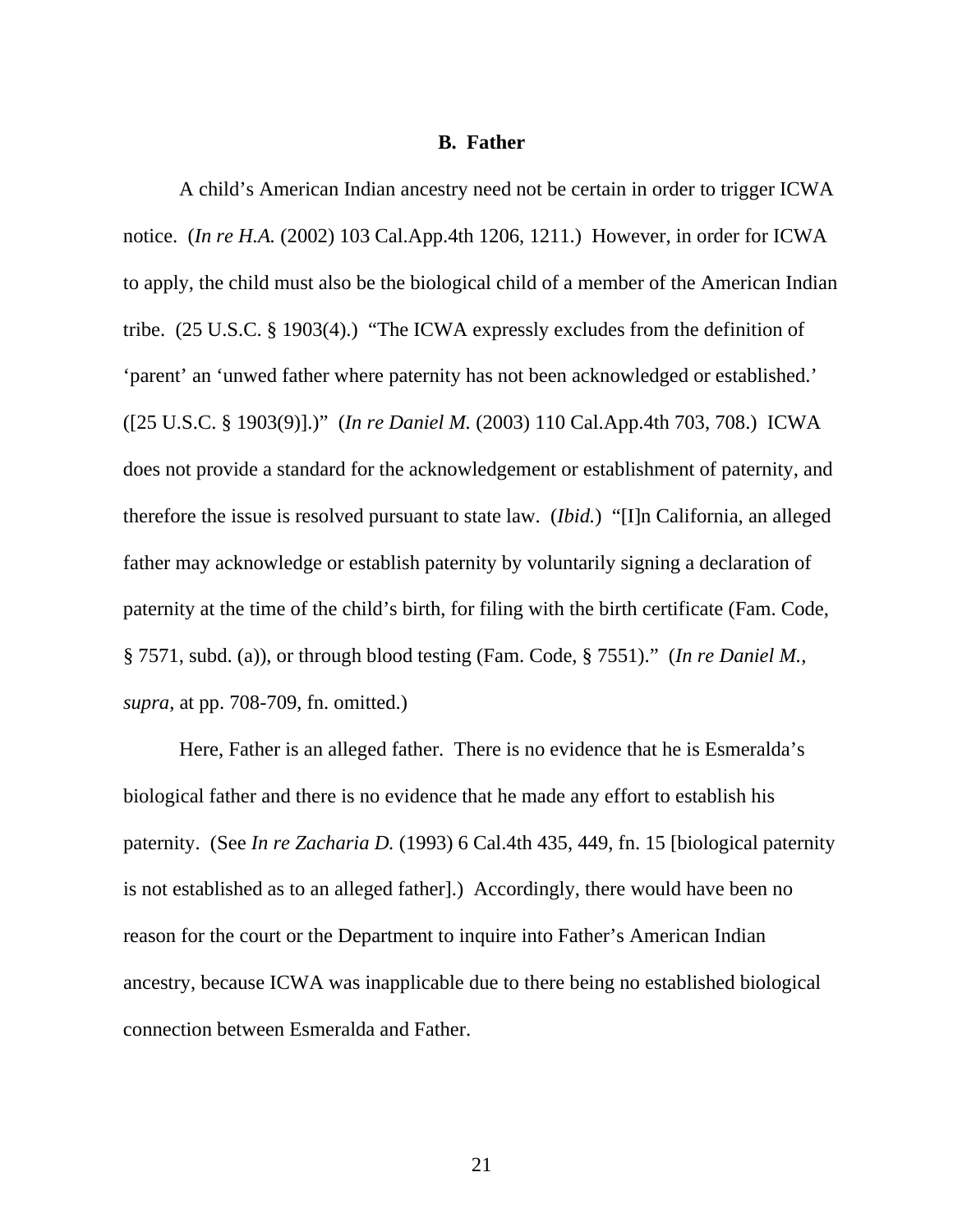### **B. Father**

 A child's American Indian ancestry need not be certain in order to trigger ICWA notice. (*In re H.A.* (2002) 103 Cal.App.4th 1206, 1211.) However, in order for ICWA to apply, the child must also be the biological child of a member of the American Indian tribe. (25 U.S.C. § 1903(4).) "The ICWA expressly excludes from the definition of 'parent' an 'unwed father where paternity has not been acknowledged or established.' ([25 U.S.C. § 1903(9)].)" (*In re Daniel M.* (2003) 110 Cal.App.4th 703, 708.) ICWA does not provide a standard for the acknowledgement or establishment of paternity, and therefore the issue is resolved pursuant to state law. (*Ibid.*) "[I]n California, an alleged father may acknowledge or establish paternity by voluntarily signing a declaration of paternity at the time of the child's birth, for filing with the birth certificate (Fam. Code, § 7571, subd. (a)), or through blood testing (Fam. Code, § 7551)." (*In re Daniel M.*, *supra*, at pp. 708-709, fn. omitted.)

 Here, Father is an alleged father. There is no evidence that he is Esmeralda's biological father and there is no evidence that he made any effort to establish his paternity. (See *In re Zacharia D.* (1993) 6 Cal.4th 435, 449, fn. 15 [biological paternity is not established as to an alleged father].) Accordingly, there would have been no reason for the court or the Department to inquire into Father's American Indian ancestry, because ICWA was inapplicable due to there being no established biological connection between Esmeralda and Father.